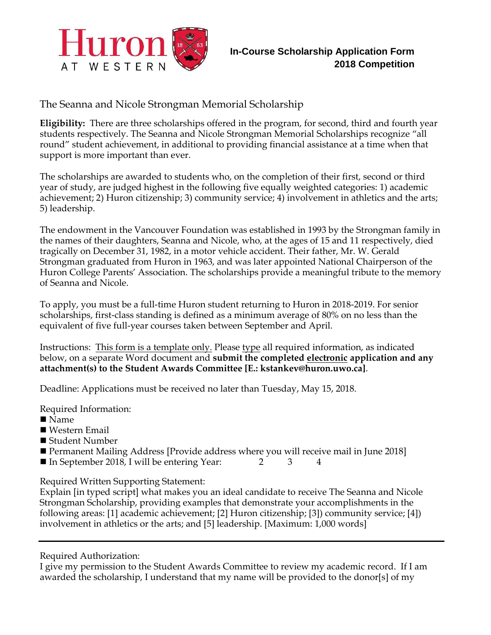

The Seanna and Nicole Strongman Memorial Scholarship

**Eligibility:** There are three scholarships offered in the program, for second, third and fourth year students respectively. The Seanna and Nicole Strongman Memorial Scholarships recognize "all round" student achievement, in additional to providing financial assistance at a time when that support is more important than ever.

The scholarships are awarded to students who, on the completion of their first, second or third year of study, are judged highest in the following five equally weighted categories: 1) academic achievement; 2) Huron citizenship; 3) community service; 4) involvement in athletics and the arts; 5) leadership.

The endowment in the Vancouver Foundation was established in 1993 by the Strongman family in the names of their daughters, Seanna and Nicole, who, at the ages of 15 and 11 respectively, died tragically on December 31, 1982, in a motor vehicle accident. Their father, Mr. W. Gerald Strongman graduated from Huron in 1963, and was later appointed National Chairperson of the Huron College Parents' Association. The scholarships provide a meaningful tribute to the memory of Seanna and Nicole.

To apply, you must be a full-time Huron student returning to Huron in 2018-2019. For senior scholarships, first-class standing is defined as a minimum average of 80% on no less than the equivalent of five full-year courses taken between September and April.

Instructions: This form is a template only. Please type all required information, as indicated below, on a separate Word document and **submit the completed electronic application and any attachment(s) to the Student Awards Committee [E.: kstankev@huron.uwo.ca]**.

Deadline: Applications must be received no later than Tuesday, May 15, 2018.

Required Information:

- Name
- Western Email
- Student Number
- Permanent Mailing Address [Provide address where you will receive mail in June 2018]
- In September 2018, I will be entering Year:  $2 \t 3 \t 4$

Required Written Supporting Statement:

Explain [in typed script] what makes you an ideal candidate to receive The Seanna and Nicole Strongman Scholarship, providing examples that demonstrate your accomplishments in the following areas: [1] academic achievement; [2] Huron citizenship; [3]) community service; [4]) involvement in athletics or the arts; and [5] leadership. [Maximum: 1,000 words]

Required Authorization:

I give my permission to the Student Awards Committee to review my academic record. If I am awarded the scholarship, I understand that my name will be provided to the donor[s] of my